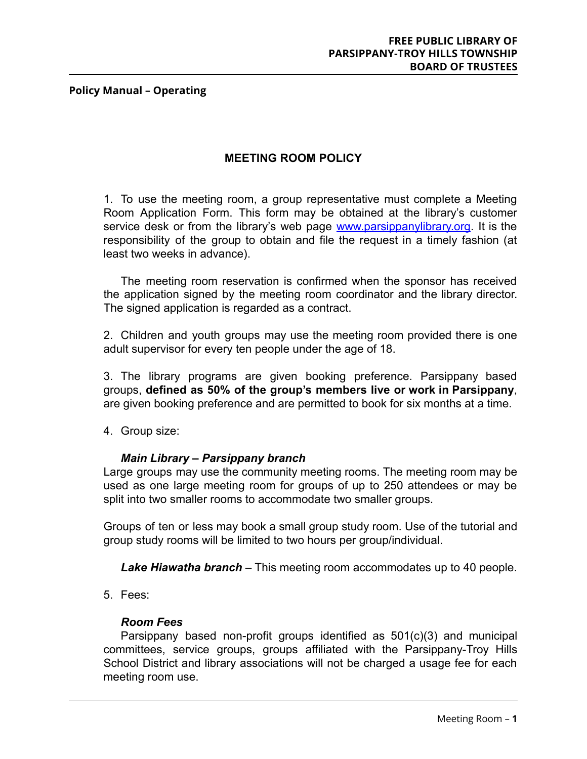# **MEETING ROOM POLICY**

1. To use the meeting room, a group representative must complete a Meeting Room Application Form. This form may be obtained at the library's customer service desk or from the library's web page [www.parsippanylibrary.org](http://www.parsippanylibrary.org). It is the responsibility of the group to obtain and file the request in a timely fashion (at least two weeks in advance).

The meeting room reservation is confirmed when the sponsor has received the application signed by the meeting room coordinator and the library director. The signed application is regarded as a contract.

2. Children and youth groups may use the meeting room provided there is one adult supervisor for every ten people under the age of 18.

3. The library programs are given booking preference. Parsippany based groups, **defined as 50% of the group's members live or work in Parsippany**, are given booking preference and are permitted to book for six months at a time.

4. Group size:

## *Main Library – Parsippany branch*

Large groups may use the community meeting rooms. The meeting room may be used as one large meeting room for groups of up to 250 attendees or may be split into two smaller rooms to accommodate two smaller groups.

Groups of ten or less may book a small group study room. Use of the tutorial and group study rooms will be limited to two hours per group/individual.

*Lake Hiawatha branch* – This meeting room accommodates up to 40 people.

5. Fees:

## *Room Fees*

Parsippany based non-profit groups identified as 501(c)(3) and municipal committees, service groups, groups affiliated with the Parsippany-Troy Hills School District and library associations will not be charged a usage fee for each meeting room use.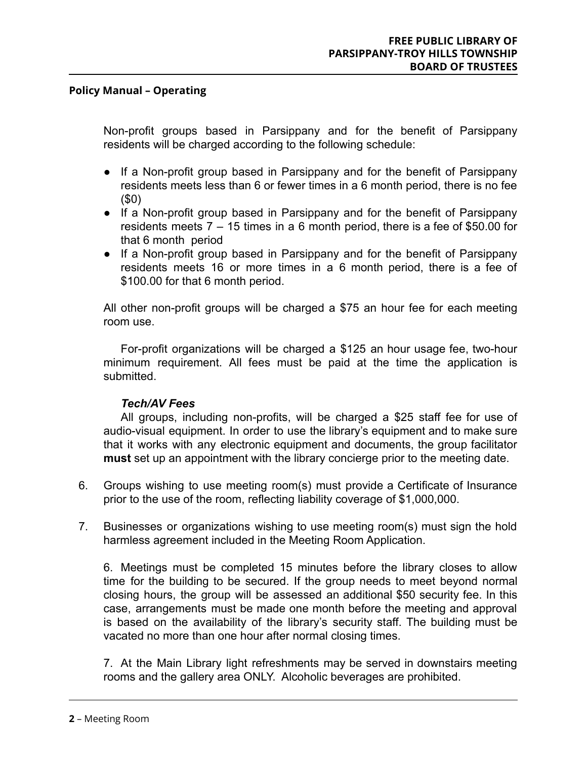Non-profit groups based in Parsippany and for the benefit of Parsippany residents will be charged according to the following schedule:

- If a Non-profit group based in Parsippany and for the benefit of Parsippany residents meets less than 6 or fewer times in a 6 month period, there is no fee (\$0)
- If a Non-profit group based in Parsippany and for the benefit of Parsippany residents meets 7 – 15 times in a 6 month period, there is a fee of \$50.00 for that 6 month period
- If a Non-profit group based in Parsippany and for the benefit of Parsippany residents meets 16 or more times in a 6 month period, there is a fee of \$100.00 for that 6 month period.

All other non-profit groups will be charged a \$75 an hour fee for each meeting room use.

For-profit organizations will be charged a \$125 an hour usage fee, two-hour minimum requirement. All fees must be paid at the time the application is submitted.

## *Tech/AV Fees*

All groups, including non-profits, will be charged a \$25 staff fee for use of audio-visual equipment. In order to use the library's equipment and to make sure that it works with any electronic equipment and documents, the group facilitator **must** set up an appointment with the library concierge prior to the meeting date.

- 6. Groups wishing to use meeting room(s) must provide a Certificate of Insurance prior to the use of the room, reflecting liability coverage of \$1,000,000.
- 7. Businesses or organizations wishing to use meeting room(s) must sign the hold harmless agreement included in the Meeting Room Application.

6. Meetings must be completed 15 minutes before the library closes to allow time for the building to be secured. If the group needs to meet beyond normal closing hours, the group will be assessed an additional \$50 security fee. In this case, arrangements must be made one month before the meeting and approval is based on the availability of the library's security staff. The building must be vacated no more than one hour after normal closing times.

7. At the Main Library light refreshments may be served in downstairs meeting rooms and the gallery area ONLY. Alcoholic beverages are prohibited.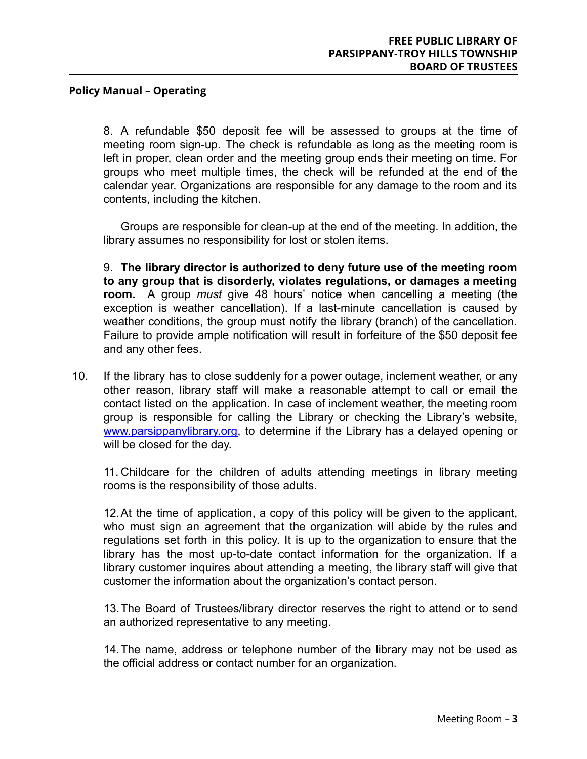8. A refundable \$50 deposit fee will be assessed to groups at the time of meeting room sign-up. The check is refundable as long as the meeting room is left in proper, clean order and the meeting group ends their meeting on time. For groups who meet multiple times, the check will be refunded at the end of the calendar year. Organizations are responsible for any damage to the room and its contents, including the kitchen.

Groups are responsible for clean-up at the end of the meeting. In addition, the library assumes no responsibility for lost or stolen items.

9. **The library director is authorized to deny future use of the meeting room to any group that is disorderly, violates regulations, or damages a meeting room.** A group *must* give 48 hours' notice when cancelling a meeting (the exception is weather cancellation). If a last-minute cancellation is caused by weather conditions, the group must notify the library (branch) of the cancellation. Failure to provide ample notification will result in forfeiture of the \$50 deposit fee and any other fees.

10. If the library has to close suddenly for a power outage, inclement weather, or any other reason, library staff will make a reasonable attempt to call or email the contact listed on the application. In case of inclement weather, the meeting room group is responsible for calling the Library or checking the Library's website, [www.parsippanylibrary.org,](http://www.parsippanylibrary.org) to determine if the Library has a delayed opening or will be closed for the day.

11. Childcare for the children of adults attending meetings in library meeting rooms is the responsibility of those adults.

12.At the time of application, a copy of this policy will be given to the applicant, who must sign an agreement that the organization will abide by the rules and regulations set forth in this policy. It is up to the organization to ensure that the library has the most up-to-date contact information for the organization. If a library customer inquires about attending a meeting, the library staff will give that customer the information about the organization's contact person.

13.The Board of Trustees/library director reserves the right to attend or to send an authorized representative to any meeting.

14.The name, address or telephone number of the library may not be used as the official address or contact number for an organization.